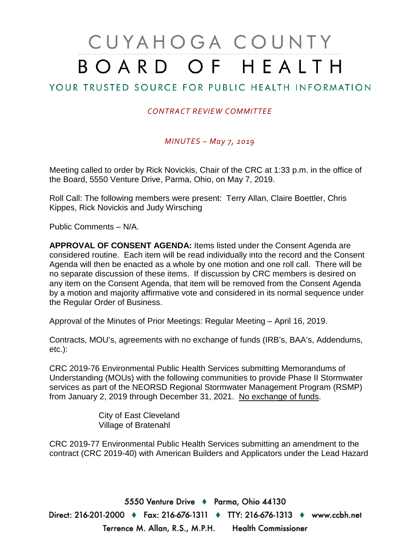# CUYAHOGA COUNTY BOARD OF HEALTH

## YOUR TRUSTED SOURCE FOR PUBLIC HEALTH INFORMATION

## *CONTRACT REVIEW COMMITTEE*

### *MINUTES – May 7, 2019*

Meeting called to order by Rick Novickis, Chair of the CRC at 1:33 p.m. in the office of the Board, 5550 Venture Drive, Parma, Ohio, on May 7, 2019.

Roll Call: The following members were present: Terry Allan, Claire Boettler, Chris Kippes, Rick Novickis and Judy Wirsching

Public Comments – N/A.

**APPROVAL OF CONSENT AGENDA:** Items listed under the Consent Agenda are considered routine. Each item will be read individually into the record and the Consent Agenda will then be enacted as a whole by one motion and one roll call. There will be no separate discussion of these items. If discussion by CRC members is desired on any item on the Consent Agenda, that item will be removed from the Consent Agenda by a motion and majority affirmative vote and considered in its normal sequence under the Regular Order of Business.

Approval of the Minutes of Prior Meetings: Regular Meeting – April 16, 2019.

Contracts, MOU's, agreements with no exchange of funds (IRB's, BAA's, Addendums, etc.):

CRC 2019-76 Environmental Public Health Services submitting Memorandums of Understanding (MOUs) with the following communities to provide Phase II Stormwater services as part of the NEORSD Regional Stormwater Management Program (RSMP) from January 2, 2019 through December 31, 2021. No exchange of funds.

> City of East Cleveland Village of Bratenahl

CRC 2019-77 Environmental Public Health Services submitting an amendment to the contract (CRC 2019-40) with American Builders and Applicators under the Lead Hazard

5550 Venture Drive + Parma, Ohio 44130 Direct: 216-201-2000 ♦ Fax: 216-676-1311 ♦ TTY: 216-676-1313 ♦ www.ccbh.net Terrence M. Allan, R.S., M.P.H. Health Commissioner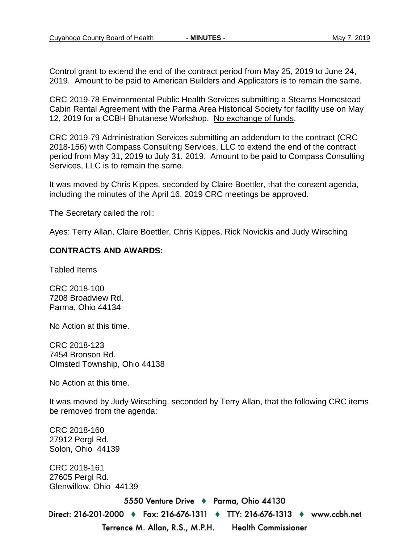Control grant to extend the end of the contract period from May 25, 2019 to June 24, 2019. Amount to be paid to American Builders and Applicators is to remain the same.

CRC 2019-78 Environmental Public Health Services submitting a Stearns Homestead Cabin Rental Agreement with the Parma Area Historical Society for facility use on May 12, 2019 for a CCBH Bhutanese Workshop. No exchange of funds.

CRC 2019-79 Administration Services submitting an addendum to the contract (CRC 2018-156) with Compass Consulting Services, LLC to extend the end of the contract period from May 31, 2019 to July 31, 2019. Amount to be paid to Compass Consulting Services, LLC is to remain the same.

It was moved by Chris Kippes, seconded by Claire Boettler, that the consent agenda, including the minutes of the April 16, 2019 CRC meetings be approved.

The Secretary called the roll:

Ayes: Terry Allan, Claire Boettler, Chris Kippes, Rick Novickis and Judy Wirsching

#### **CONTRACTS AND AWARDS:**

Tabled Items

CRC 2018-100 7208 Broadview Rd. Parma, Ohio 44134

No Action at this time.

CRC 2018-123 7454 Bronson Rd. Olmsted Township, Ohio 44138

No Action at this time.

It was moved by Judy Wirsching, seconded by Terry Allan, that the following CRC items be removed from the agenda:

CRC 2018-160 27912 Pergl Rd. Solon, Ohio 44139 CRC 2018-161 27605 Pergl Rd. Glenwillow, Ohio 441395550 Venture Drive + Parma, Ohio 44130 Direct: 216-201-2000 ♦ Fax: 216-676-1311 ♦ TTY: 216-676-1313 ♦ www.ccbh.net Terrence M. Allan, R.S., M.P.H. **Health Commissioner**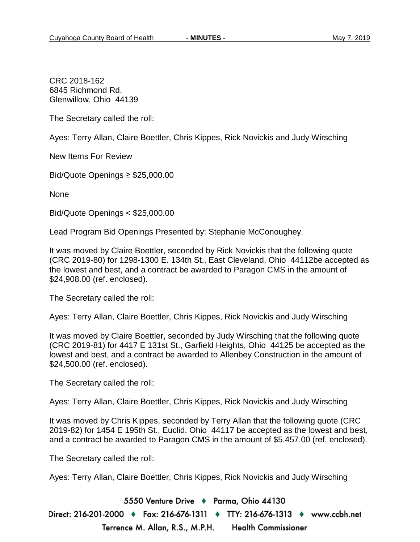CRC 2018-162 6845 Richmond Rd. Glenwillow, Ohio 44139

The Secretary called the roll:

Ayes: Terry Allan, Claire Boettler, Chris Kippes, Rick Novickis and Judy Wirsching

New Items For Review

Bid/Quote Openings ≥ \$25,000.00

None

Bid/Quote Openings < \$25,000.00

Lead Program Bid Openings Presented by: Stephanie McConoughey

It was moved by Claire Boettler, seconded by Rick Novickis that the following quote (CRC 2019-80) for 1298-1300 E. 134th St., East Cleveland, Ohio 44112be accepted as the lowest and best, and a contract be awarded to Paragon CMS in the amount of \$24,908.00 (ref. enclosed).

The Secretary called the roll:

Ayes: Terry Allan, Claire Boettler, Chris Kippes, Rick Novickis and Judy Wirsching

It was moved by Claire Boettler, seconded by Judy Wirsching that the following quote (CRC 2019-81) for 4417 E 131st St., Garfield Heights, Ohio 44125 be accepted as the lowest and best, and a contract be awarded to Allenbey Construction in the amount of \$24,500.00 (ref. enclosed).

The Secretary called the roll:

Ayes: Terry Allan, Claire Boettler, Chris Kippes, Rick Novickis and Judy Wirsching

It was moved by Chris Kippes, seconded by Terry Allan that the following quote (CRC 2019-82) for 1454 E 195th St., Euclid, Ohio 44117 be accepted as the lowest and best, and a contract be awarded to Paragon CMS in the amount of \$5,457.00 (ref. enclosed).

The Secretary called the roll:

Ayes: Terry Allan, Claire Boettler, Chris Kippes, Rick Novickis and Judy Wirsching

5550 Venture Drive + Parma, Ohio 44130

Direct: 216-201-2000 ♦ Fax: 216-676-1311 ♦ TTY: 216-676-1313 ♦ www.ccbh.net Terrence M. Allan, R.S., M.P.H. **Health Commissioner**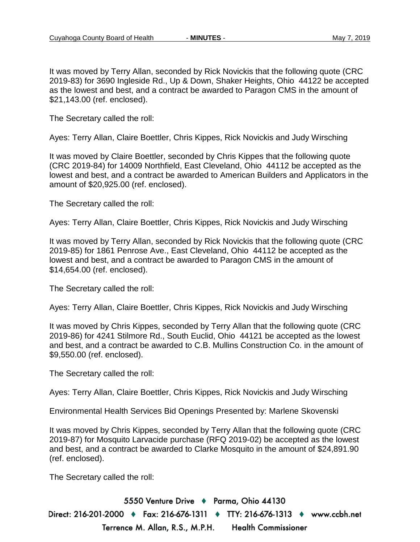It was moved by Terry Allan, seconded by Rick Novickis that the following quote (CRC 2019-83) for 3690 Ingleside Rd., Up & Down, Shaker Heights, Ohio 44122 be accepted as the lowest and best, and a contract be awarded to Paragon CMS in the amount of \$21,143.00 (ref. enclosed).

The Secretary called the roll:

Ayes: Terry Allan, Claire Boettler, Chris Kippes, Rick Novickis and Judy Wirsching

It was moved by Claire Boettler, seconded by Chris Kippes that the following quote (CRC 2019-84) for 14009 Northfield, East Cleveland, Ohio 44112 be accepted as the lowest and best, and a contract be awarded to American Builders and Applicators in the amount of \$20,925.00 (ref. enclosed).

The Secretary called the roll:

Ayes: Terry Allan, Claire Boettler, Chris Kippes, Rick Novickis and Judy Wirsching

It was moved by Terry Allan, seconded by Rick Novickis that the following quote (CRC 2019-85) for 1861 Penrose Ave., East Cleveland, Ohio 44112 be accepted as the lowest and best, and a contract be awarded to Paragon CMS in the amount of \$14,654.00 (ref. enclosed).

The Secretary called the roll:

Ayes: Terry Allan, Claire Boettler, Chris Kippes, Rick Novickis and Judy Wirsching

It was moved by Chris Kippes, seconded by Terry Allan that the following quote (CRC 2019-86) for 4241 Stilmore Rd., South Euclid, Ohio 44121 be accepted as the lowest and best, and a contract be awarded to C.B. Mullins Construction Co. in the amount of \$9,550.00 (ref. enclosed).

The Secretary called the roll:

Ayes: Terry Allan, Claire Boettler, Chris Kippes, Rick Novickis and Judy Wirsching

Environmental Health Services Bid Openings Presented by: Marlene Skovenski

It was moved by Chris Kippes, seconded by Terry Allan that the following quote (CRC 2019-87) for Mosquito Larvacide purchase (RFQ 2019-02) be accepted as the lowest and best, and a contract be awarded to Clarke Mosquito in the amount of \$24,891.90 (ref. enclosed).

The Secretary called the roll:

5550 Venture Drive + Parma, Ohio 44130 Direct: 216-201-2000 ♦ Fax: 216-676-1311 ♦ TTY: 216-676-1313 ♦ www.ccbh.net Terrence M. Allan, R.S., M.P.H. **Health Commissioner**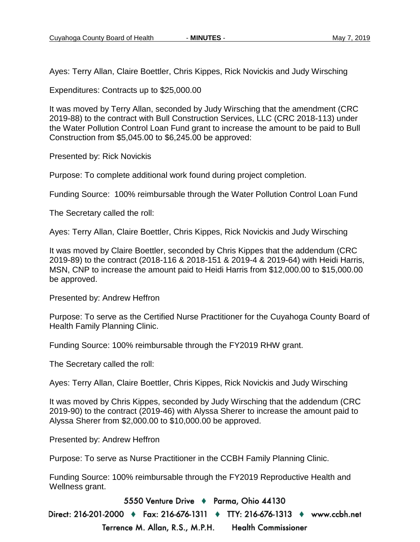Ayes: Terry Allan, Claire Boettler, Chris Kippes, Rick Novickis and Judy Wirsching

Expenditures: Contracts up to \$25,000.00

It was moved by Terry Allan, seconded by Judy Wirsching that the amendment (CRC 2019-88) to the contract with Bull Construction Services, LLC (CRC 2018-113) under the Water Pollution Control Loan Fund grant to increase the amount to be paid to Bull Construction from \$5,045.00 to \$6,245.00 be approved:

Presented by: Rick Novickis

Purpose: To complete additional work found during project completion.

Funding Source: 100% reimbursable through the Water Pollution Control Loan Fund

The Secretary called the roll:

Ayes: Terry Allan, Claire Boettler, Chris Kippes, Rick Novickis and Judy Wirsching

It was moved by Claire Boettler, seconded by Chris Kippes that the addendum (CRC 2019-89) to the contract (2018-116 & 2018-151 & 2019-4 & 2019-64) with Heidi Harris, MSN, CNP to increase the amount paid to Heidi Harris from \$12,000.00 to \$15,000.00 be approved.

Presented by: Andrew Heffron

Purpose: To serve as the Certified Nurse Practitioner for the Cuyahoga County Board of Health Family Planning Clinic.

Funding Source: 100% reimbursable through the FY2019 RHW grant.

The Secretary called the roll:

Ayes: Terry Allan, Claire Boettler, Chris Kippes, Rick Novickis and Judy Wirsching

It was moved by Chris Kippes, seconded by Judy Wirsching that the addendum (CRC 2019-90) to the contract (2019-46) with Alyssa Sherer to increase the amount paid to Alyssa Sherer from \$2,000.00 to \$10,000.00 be approved.

Presented by: Andrew Heffron

Purpose: To serve as Nurse Practitioner in the CCBH Family Planning Clinic.

Funding Source: 100% reimbursable through the FY2019 Reproductive Health and Wellness grant.

5550 Venture Drive + Parma, Ohio 44130

Direct: 216-201-2000 ♦ Fax: 216-676-1311 ♦ TTY: 216-676-1313 ♦ www.ccbh.net Terrence M. Allan, R.S., M.P.H. **Health Commissioner**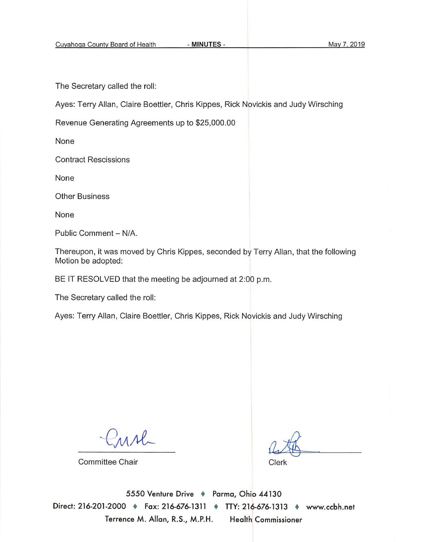The Secretary called the roll:

Ayes: Terry Allan, Claire Boettler, Chris Kippes, Rick Novickis and Judy Wirsching

Revenue Generating Agreements up to \$25,000.00

None

**Contract Rescissions** 

None

**Other Business** 

None

Public Comment - N/A.

Thereupon, it was moved by Chris Kippes, seconded by Terry Allan, that the following Motion be adopted:

BE IT RESOLVED that the meeting be adjourned at 2:00 p.m.

The Secretary called the roll:

Ayes: Terry Allan, Claire Boettler, Chris Kippes, Rick Novickis and Judy Wirsching

 $M_{-}$ 

Committee Chair

Clerk

5550 Venture Drive + Parma, Ohio 44130 Direct: 216-201-2000 + Fax: 216-676-1311 + TTY: 216-676-1313 + www.ccbh.net Terrence M. Allan, R.S., M.P.H. **Health Commissioner**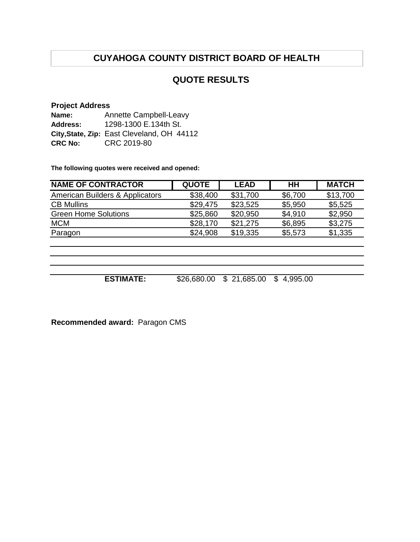## **QUOTE RESULTS**

### **Project Address**

| Name:          | Annette Campbell-Leavy                     |  |  |  |
|----------------|--------------------------------------------|--|--|--|
| Address:       | 1298-1300 E.134th St.                      |  |  |  |
|                | City, State, Zip: East Cleveland, OH 44112 |  |  |  |
| <b>CRC No:</b> | CRC 2019-80                                |  |  |  |

**The following quotes were received and opened:**

| <b>NAME OF CONTRACTOR</b>                  | <b>QUOTE</b> | <b>LEAD</b> | <b>HH</b> | <b>MATCH</b> |
|--------------------------------------------|--------------|-------------|-----------|--------------|
| <b>American Builders &amp; Applicators</b> | \$38,400     | \$31,700    | \$6,700   | \$13,700     |
| <b>CB Mullins</b>                          | \$29,475     | \$23,525    | \$5,950   | \$5,525      |
| <b>Green Home Solutions</b>                | \$25,860     | \$20,950    | \$4,910   | \$2,950      |
| <b>MCM</b>                                 | \$28,170     | \$21,275    | \$6,895   | \$3,275      |
| Paragon                                    | \$24,908     | \$19,335    | \$5,573   | \$1,335      |
|                                            |              |             |           |              |

**ESTIMATE:** \$26,680.00 \$ 21,685.00 \$ 4,995.00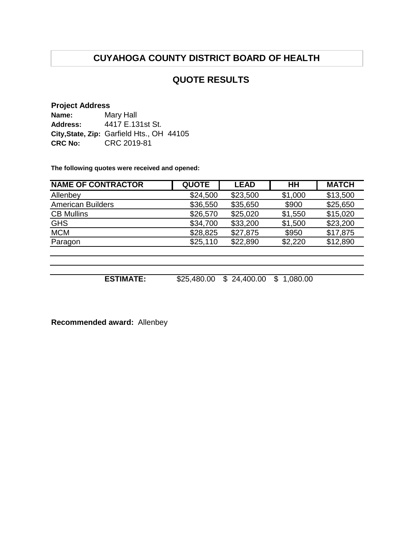## **QUOTE RESULTS**

### **Project Address**

| Name:          | Mary Hall                                 |
|----------------|-------------------------------------------|
| Address:       | 4417 E.131st St.                          |
|                | City, State, Zip: Garfield Hts., OH 44105 |
| <b>CRC No:</b> | CRC 2019-81                               |

**The following quotes were received and opened:**

| <b>NAME OF CONTRACTOR</b> | <b>QUOTE</b> | <b>LEAD</b> | HН      | <b>MATCH</b> |
|---------------------------|--------------|-------------|---------|--------------|
| Allenbey                  | \$24,500     | \$23,500    | \$1,000 | \$13,500     |
| <b>American Builders</b>  | \$36,550     | \$35,650    | \$900   | \$25,650     |
| <b>CB Mullins</b>         | \$26,570     | \$25,020    | \$1,550 | \$15,020     |
| <b>GHS</b>                | \$34,700     | \$33,200    | \$1,500 | \$23,200     |
| <b>MCM</b>                | \$28,825     | \$27,875    | \$950   | \$17,875     |
| Paragon                   | \$25,110     | \$22,890    | \$2,220 | \$12,890     |
|                           |              |             |         |              |

**ESTIMATE:** \$25,480.00 \$ 24,400.00 \$ 1,080.00

**Recommended award:** Allenbey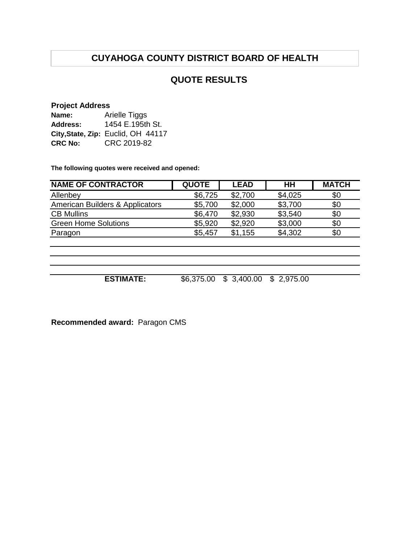## **QUOTE RESULTS**

## **Project Address**

| Name:          | <b>Arielle Tiggs</b>               |  |  |  |  |
|----------------|------------------------------------|--|--|--|--|
| Address:       | 1454 E.195th St.                   |  |  |  |  |
|                | City, State, Zip: Euclid, OH 44117 |  |  |  |  |
| <b>CRC No:</b> | CRC 2019-82                        |  |  |  |  |

**The following quotes were received and opened:**

| <b>NAME OF CONTRACTOR</b>       | <b>QUOTE</b> | <b>LEAD</b> | HН             | <b>MATCH</b> |
|---------------------------------|--------------|-------------|----------------|--------------|
| Allenbey                        | \$6,725      | \$2,700     | \$4,025        | \$0          |
| American Builders & Applicators | \$5,700      | \$2,000     | \$3,700        | \$0          |
| <b>CB Mullins</b>               | \$6,470      | \$2,930     | \$3,540        | \$0          |
| <b>Green Home Solutions</b>     | \$5,920      | \$2,920     | \$3,000        | \$0          |
| Paragon                         | \$5,457      | \$1,155     | \$4,302        | \$0          |
|                                 |              |             |                |              |
|                                 |              |             |                |              |
| <b>ESTIMATE:</b>                | \$6,375.00   | \$3,400.00  | 2,975.00<br>\$ |              |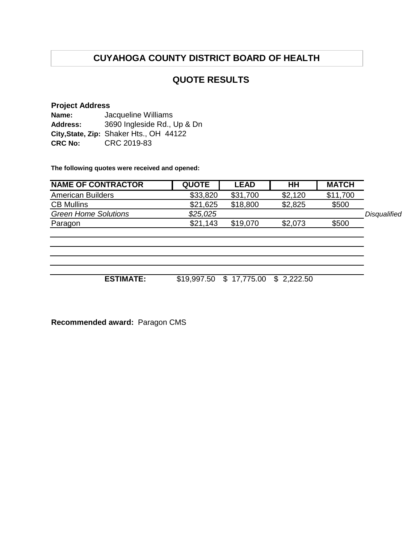## **QUOTE RESULTS**

### **Project Address**

| Name:          | Jacqueline Williams                     |
|----------------|-----------------------------------------|
| Address:       | 3690 Ingleside Rd., Up & Dn             |
|                | City, State, Zip: Shaker Hts., OH 44122 |
| <b>CRC No:</b> | CRC 2019-83                             |

**The following quotes were received and opened:**

| <b>NAME OF CONTRACTOR</b>   | <b>QUOTE</b> | <b>LEAD</b> | HH      | <b>MATCH</b> |              |
|-----------------------------|--------------|-------------|---------|--------------|--------------|
| <b>American Builders</b>    | \$33,820     | \$31,700    | \$2,120 | \$11,700     |              |
| <b>CB Mullins</b>           | \$21,625     | \$18,800    | \$2,825 | \$500        |              |
| <b>Green Home Solutions</b> | \$25.025     |             |         |              | Disqualified |
| Paragon                     | \$21,143     | \$19,070    | \$2,073 | \$500        |              |

**ESTIMATE:** \$19,997.50 \$ 17,775.00 \$ 2,222.50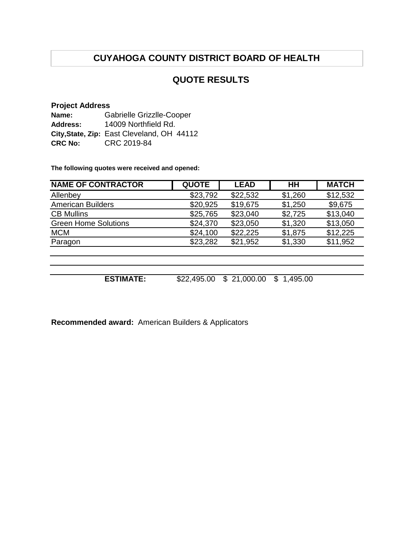## **QUOTE RESULTS**

## **Project Address**

| Name:          | Gabrielle Grizzlle-Cooper                  |  |  |  |
|----------------|--------------------------------------------|--|--|--|
| Address:       | 14009 Northfield Rd.                       |  |  |  |
|                | City, State, Zip: East Cleveland, OH 44112 |  |  |  |
| <b>CRC No:</b> | CRC 2019-84                                |  |  |  |

**The following quotes were received and opened:**

| <b>NAME OF CONTRACTOR</b>   | <b>QUOTE</b> | <b>LEAD</b>      | HН             | <b>MATCH</b> |
|-----------------------------|--------------|------------------|----------------|--------------|
| Allenbey                    | \$23,792     | \$22,532         | \$1,260        | \$12,532     |
| <b>American Builders</b>    | \$20,925     | \$19,675         | \$1,250        | \$9,675      |
| <b>CB Mullins</b>           | \$25,765     | \$23,040         | \$2,725        | \$13,040     |
| <b>Green Home Solutions</b> | \$24,370     | \$23,050         | \$1,320        | \$13,050     |
| <b>MCM</b>                  | \$24,100     | \$22,225         | \$1,875        | \$12,225     |
| Paragon                     | \$23,282     | \$21,952         | \$1,330        | \$11,952     |
|                             |              |                  |                |              |
|                             |              |                  |                |              |
|                             |              |                  |                |              |
| <b>ESTIMATE:</b>            | \$22,495.00  | 21,000.00<br>\$. | 1,495.00<br>\$ |              |

**Recommended award:** American Builders & Applicators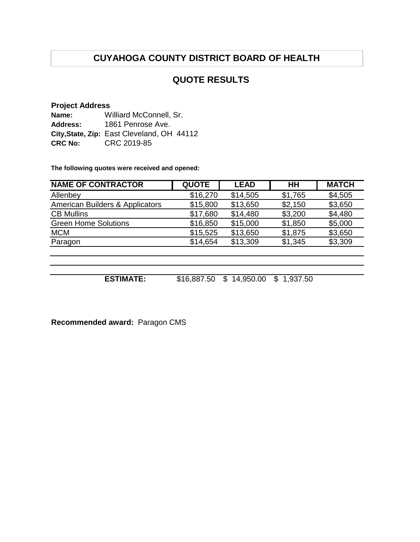## **QUOTE RESULTS**

### **Project Address**

| Name:          | Williard McConnell, Sr.                    |
|----------------|--------------------------------------------|
| Address:       | 1861 Penrose Ave.                          |
|                | City, State, Zip: East Cleveland, OH 44112 |
| <b>CRC No:</b> | CRC 2019-85                                |

**The following quotes were received and opened:**

| <b>NAME OF CONTRACTOR</b>       | <b>QUOTE</b> | <b>LEAD</b> | HН      | <b>MATCH</b> |
|---------------------------------|--------------|-------------|---------|--------------|
| Allenbey                        | \$16,270     | \$14,505    | \$1,765 | \$4,505      |
| American Builders & Applicators | \$15,800     | \$13,650    | \$2,150 | \$3,650      |
| <b>CB Mullins</b>               | \$17,680     | \$14,480    | \$3,200 | \$4,480      |
| <b>Green Home Solutions</b>     | \$16,850     | \$15,000    | \$1,850 | \$5,000      |
| <b>MCM</b>                      | \$15,525     | \$13,650    | \$1,875 | \$3,650      |
| Paragon                         | \$14,654     | \$13,309    | \$1,345 | \$3,309      |
|                                 |              |             |         |              |
|                                 |              |             |         |              |

**ESTIMATE:** \$16,887.50 \$ 14,950.00 \$ 1,937.50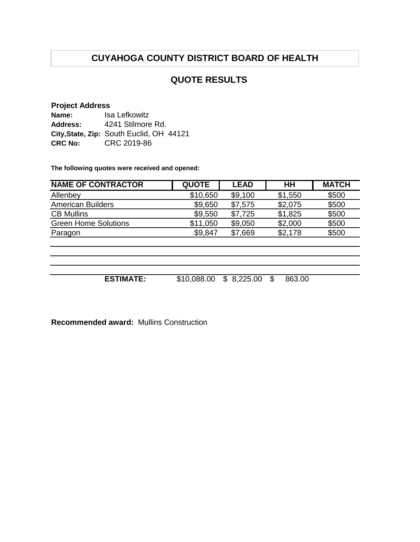## **QUOTE RESULTS**

### **Project Address**

| Name:          | Isa Lefkowitz                            |
|----------------|------------------------------------------|
| Address:       | 4241 Stilmore Rd.                        |
|                | City, State, Zip: South Euclid, OH 44121 |
| <b>CRC No:</b> | CRC 2019-86                              |

**The following quotes were received and opened:**

| <b>QUOTE</b> | <b>LEAD</b> | HH         | <b>MATCH</b> |
|--------------|-------------|------------|--------------|
| \$10,650     | \$9,100     | \$1,550    | \$500        |
| \$9,650      | \$7,575     | \$2,075    | \$500        |
| \$9,550      | \$7,725     | \$1,825    | \$500        |
| \$11,050     | \$9,050     | \$2,000    | \$500        |
| \$9,847      | \$7,669     | \$2,178    | \$500        |
|              |             |            |              |
|              |             |            |              |
|              |             |            |              |
|              |             |            |              |
|              |             | \$         |              |
|              | \$10,088.00 | \$8,225.00 | 863.00       |

**Recommended award:** Mullins Construction